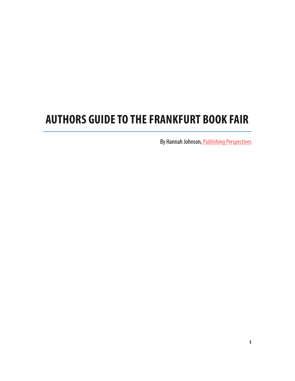# **AUTHORS GUIDE TO THE FRANKFURT BOOK FAIR**

By Hannah Johnson, [Publishing Perspectives](http://publishingperspectives.com/)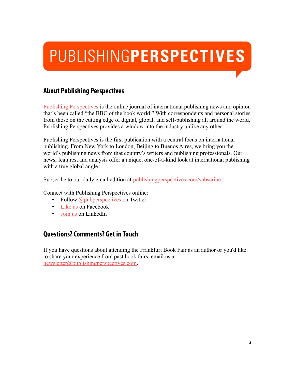# PUBLISHINGPERSPECTIVES

### **About Publishing Perspectives**

[Publishing Perspectives](http://publishingperspectives.com/) is the online journal of international publishing news and opinion that's been called "the BBC of the book world." With correspondents and personal stories from those on the cutting edge of digital, global, and self-publishing all around the world, Publishing Perspectives provides a window into the industry unlike any other.

Publishing Perspectives is the first publication with a central focus on international publishing. From New York to London, Beijing to Buenos Aires, we bring you the world's publishing news from that country's writers and publishing professionals. Our news, features, and analysis offer a unique, one-of-a-kind look at international publishing with a true global angle.

Subscribe to our daily email edition at [publishingperspectives.com/subscribe.](http://publishingperspectives.com/subscribe)

Connect with Publishing Perspectives online:

- Follow *@pubperspectives* on Twitter
- [Like us](http://www.facebook.com/pubperspectives) on Facebook
- [Join us](http://www.linkedin.com/groups/Publishing-Perspectives-2975675) on LinkedIn

## **Questions? Comments? Get in Touch**

If you have questions about attending the Frankfurt Book Fair as an author or you'd like to share your experience from past book fairs, email us at [newsletter@publishingperspectives.com.](mailto:newsletter@publishingperspectives.com?subject=Authors%20at%20the%20Frankfurt%20Book%20Fair)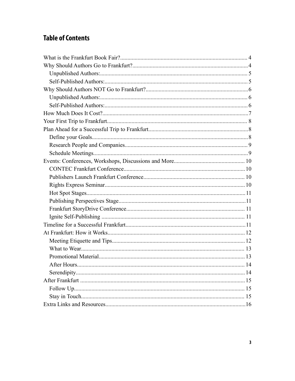# **Table of Contents**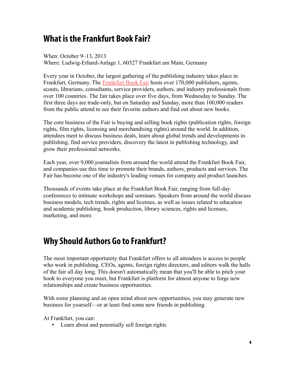# **What is the Frankfurt Book Fair?**

When: October 9–13, 2013 Where: Ludwig-Erhard-Anlage 1, 60327 Frankfurt am Main, Germany

Every year in October, the largest gathering of the publishing industry takes place in Frankfurt, Germany. The [Frankfurt Book Fair](http://www.book-fair.com/) hosts over 170,000 publishers, agents, scouts, librarians, consultants, service providers, authors, and industry professionals from over 100 countries. The fair takes place over five days, from Wednesday to Sunday. The first three days are trade-only, but on Saturday and Sunday, more than 100,000 readers from the public attend to see their favorite authors and find out about new books.

The core business of the Fair is buying and selling book rights (publication rights, foreign rights, film rights, licensing and merchandising rights) around the world. In addition, attendees meet to discuss business deals, learn about global trends and developments in publishing, find service providers, discovery the latest in publishing technology, and grow their professional networks.

Each year, over 9,000 journalists from around the world attend the Frankfurt Book Fair, and companies use this time to promote their brands, authors, products and services. The Fair has become one of the industry's leading venues for company and product launches.

Thousands of events take place at the Frankfurt Book Fair, ranging from full-day conferences to intimate workshops and seminars. Speakers from around the world discuss business models, tech trends, rights and licenses, as well as issues related to education and academic publishing, book production, library sciences, rights and licenses, marketing, and more.

# **Why Should Authors Go to Frankfurt?**

The most important opportunity that Frankfurt offers to all attendees is access to people who work in publishing. CEOs, agents, foreign rights directors, and editors walk the halls of the fair all day long. This doesn't automatically mean that you'll be able to pitch your book to everyone you meet, but Frankfurt is platform for almost anyone to forge new relationships and create business opportunities.

With some planning and an open mind about new opportunities, you may generate new business for yourself—or at least find some new friends in publishing.

At Frankfurt, you can:

• Learn about and potentially sell foreign rights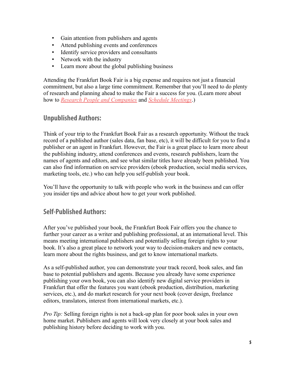- Gain attention from publishers and agents
- Attend publishing events and conferences
- Identify service providers and consultants
- Network with the industry
- Learn more about the global publishing business

Attending the Frankfurt Book Fair is a big expense and requires not just a financial commitment, but also a large time commitment. Remember that you'll need to do plenty of research and planning ahead to make the Fair a success for you. (Learn more about how to *[Research People and Companies](#page-8-1)* and *[Schedule Meetings](#page-8-0)*.)

#### **Unpublished Authors:**

Think of your trip to the Frankfurt Book Fair as a research opportunity. Without the track record of a published author (sales data, fan base, etc), it will be difficult for you to find a publisher or an agent in Frankfurt. However, the Fair is a great place to learn more about the publishing industry, attend conferences and events, research publishers, learn the names of agents and editors, and see what similar titles have already been published. You can also find information on service providers (ebook production, social media services, marketing tools, etc.) who can help you self-publish your book.

You'll have the opportunity to talk with people who work in the business and can offer you insider tips and advice about how to get your work published.

#### **Self-Published Authors:**

After you've published your book, the Frankfurt Book Fair offers you the chance to further your career as a writer and publishing professional, at an international level. This means meeting international publishers and potentially selling foreign rights to your book. It's also a great place to network your way to decision-makers and new contacts, learn more about the rights business, and get to know international markets.

As a self-published author, you can demonstrate your track record, book sales, and fan base to potential publishers and agents. Because you already have some experience publishing your own book, you can also identify new digital service providers in Frankfurt that offer the features you want (ebook production, distribution, marketing services, etc.), and do market research for your next book (cover design, freelance editors, translators, interest from international markets, etc.).

*Pro Tip:* Selling foreign rights is not a back-up plan for poor book sales in your own home market. Publishers and agents will look very closely at your book sales and publishing history before deciding to work with you.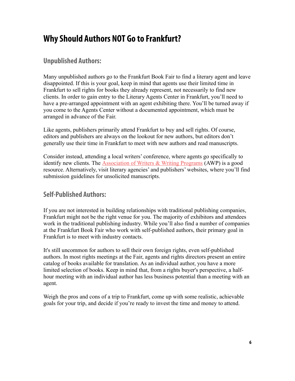# **Why Should Authors NOT Go to Frankfurt?**

#### **Unpublished Authors:**

Many unpublished authors go to the Frankfurt Book Fair to find a literary agent and leave disappointed. If this is your goal, keep in mind that agents use their limited time in Frankfurt to sell rights for books they already represent, not necessarily to find new clients. In order to gain entry to the Literary Agents Center in Frankfurt, you'll need to have a pre-arranged appointment with an agent exhibiting there. You'll be turned away if you come to the Agents Center without a documented appointment, which must be arranged in advance of the Fair.

Like agents, publishers primarily attend Frankfurt to buy and sell rights. Of course, editors and publishers are always on the lookout for new authors, but editors don't generally use their time in Frankfurt to meet with new authors and read manuscripts.

Consider instead, attending a local writers' conference, where agents go specifically to identify new clients. The [Association of Writers & Writing Programs](https://www.awpwriter.org/) (AWP) is a good resource. Alternatively, visit literary agencies' and publishers' websites, where you'll find submission guidelines for unsolicited manuscripts.

#### **Self-Published Authors:**

If you are not interested in building relationships with traditional publishing companies, Frankfurt might not be the right venue for you. The majority of exhibitors and attendees work in the traditional publishing industry. While you'll also find a number of companies at the Frankfurt Book Fair who work with self-published authors, their primary goal in Frankfurt is to meet with industry contacts.

It's still uncommon for authors to sell their own foreign rights, even self-published authors. In most rights meetings at the Fair, agents and rights directors present an entire catalog of books available for translation. As an individual author, you have a more limited selection of books. Keep in mind that, from a rights buyer's perspective, a halfhour meeting with an individual author has less business potential than a meeting with an agent.

Weigh the pros and cons of a trip to Frankfurt, come up with some realistic, achievable goals for your trip, and decide if you're ready to invest the time and money to attend.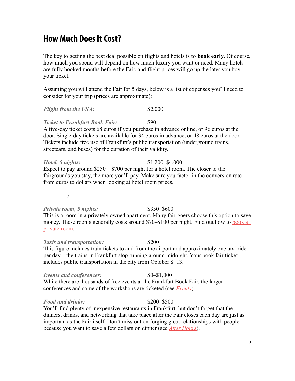# **How Much Does It Cost?**

The key to getting the best deal possible on flights and hotels is to **book early**. Of course, how much you spend will depend on how much luxury you want or need. Many hotels are fully booked months before the Fair, and flight prices will go up the later you buy your ticket.

Assuming you will attend the Fair for 5 days, below is a list of expenses you'll need to consider for your trip (prices are approximate):

#### *Flight from the USA:* \$2,000

#### **Ticket to Frankfurt Book Fair:** \$90

A five-day ticket costs 68 euros if you purchase in advance online, or 96 euros at the door. Single-day tickets are available for 34 euros in advance, or 48 euros at the door. Tickets include free use of Frankfurt's public transportation (underground trains, streetcars, and buses) for the duration of their validity.

#### *Hotel, 5 nights:* \$1,200–\$4,000

Expect to pay around \$250—\$700 per night for a hotel room. The closer to the fairgrounds you stay, the more you'll pay. Make sure you factor in the conversion rate from euros to dollars when looking at hotel room prices.

 $\overline{\phantom{a}}$ -or-

#### *Private room, 5 nights:*  $$350–$600$

This is a room in a privately owned apartment. Many fair-goers choose this option to save money. These rooms generally costs around \$70–\$100 per night. Find out how to **book a** [private room.](http://www.frankfurt-tourismus.de/cms/tourismussuite/en/hotels_frankfurt_germany/hotel_reservations_frankfurt/bed_and_breakfast.html)

#### *Taxis and transportation:* \$200

This figure includes train tickets to and from the airport and approximately one taxi ride per day—the trains in Frankfurt stop running around midnight. Your book fair ticket includes public transportation in the city from October 8–13.

#### *Events and conferences:*  $$0-$1,000$

While there are thousands of free events at the Frankfurt Book Fair, the larger conferences and some of the workshops are ticketed (see *[Events](#page-9-0)*).

#### *Food and drinks:* \$200–\$500

You'll find plenty of inexpensive restaurants in Frankfurt, but don't forget that the dinners, drinks, and networking that take place after the Fair closes each day are just as important as the Fair itself. Don't miss out on forging great relationships with people because you want to save a few dollars on dinner (see *[After Hours](#page-13-0)*).

#### **7**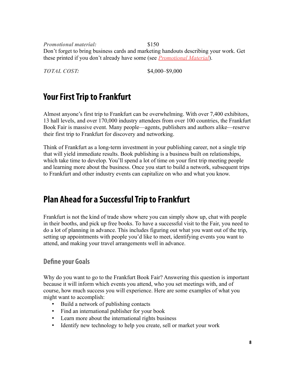*Promotional material:* \$150 Don't forget to bring business cards and marketing handouts describing your work. Get these printed if you don't already have some (see *[Promotional Material](#page-12-0)*).

*TOTAL COST:* \$4,000–\$9,000

# **Your First Trip to Frankfurt**

Almost anyone's first trip to Frankfurt can be overwhelming. With over 7,400 exhibitors, 13 hall levels, and over 170,000 industry attendees from over 100 countries, the Frankfurt Book Fair is massive event. Many people—agents, publishers and authors alike—reserve their first trip to Frankfurt for discovery and networking.

Think of Frankfurt as a long-term investment in your publishing career, not a single trip that will yield immediate results. Book publishing is a business built on relationships, which take time to develop. You'll spend a lot of time on your first trip meeting people and learning more about the business. Once you start to build a network, subsequent trips to Frankfurt and other industry events can capitalize on who and what you know.

# **Plan Ahead for a Successful Trip to Frankfurt**

Frankfurt is not the kind of trade show where you can simply show up, chat with people in their booths, and pick up free books. To have a successful visit to the Fair, you need to do a lot of planning in advance. This includes figuring out what you want out of the trip, setting up appointments with people you'd like to meet, identifying events you want to attend, and making your travel arrangements well in advance.

#### **Define your Goals**

Why do you want to go to the Frankfurt Book Fair? Answering this question is important because it will inform which events you attend, who you set meetings with, and of course, how much success you will experience. Here are some examples of what you might want to accomplish:

- Build a network of publishing contacts
- Find an international publisher for your book
- Learn more about the international rights business
- Identify new technology to help you create, sell or market your work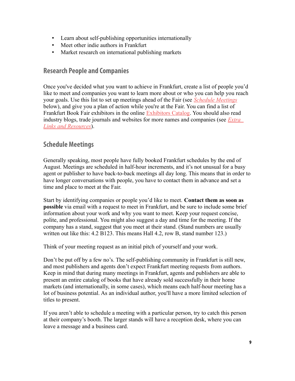- Learn about self-publishing opportunities internationally
- Meet other indie authors in Frankfurt
- Market research on international publishing markets

#### <span id="page-8-1"></span>**Research People and Companies**

Once you've decided what you want to achieve in Frankfurt, create a list of people you'd like to meet and companies you want to learn more about or who you can help you reach your goals. Use this list to set up meetings ahead of the Fair (see *[Schedule Meetings](#page-8-0)* below), and give you a plan of action while you're at the Fair. You can find a list of Frankfurt Book Fair exhibitors in the online [Exhibitors Catalog.](https://en.book-fair.com/networking/search_find/companies/search.aspx) You should also read industry blogs, trade journals and websites for more names and companies (see *[Extra](#page-15-0)  [Links and Resources](#page-15-0)*).

#### <span id="page-8-0"></span>**Schedule Meetings**

Generally speaking, most people have fully booked Frankfurt schedules by the end of August. Meetings are scheduled in half-hour increments, and it's not unusual for a busy agent or publisher to have back-to-back meetings all day long. This means that in order to have longer conversations with people, you have to contact them in advance and set a time and place to meet at the Fair.

Start by identifying companies or people you'd like to meet. **Contact them as soon as possible** via email with a request to meet in Frankfurt, and be sure to include some brief information about your work and why you want to meet. Keep your request concise, polite, and professional. You might also suggest a day and time for the meeting. If the company has a stand, suggest that you meet at their stand. (Stand numbers are usually written out like this: 4.2 B123. This means Hall 4.2, row B, stand number 123.)

Think of your meeting request as an initial pitch of yourself and your work.

Don't be put off by a few no's. The self-publishing community in Frankfurt is still new, and most publishers and agents don't expect Frankfurt meeting requests from authors. Keep in mind that during many meetings in Frankfurt, agents and publishers are able to present an entire catalog of books that have already sold successfully in their home markets (and internationally, in some cases), which means each half-hour meeting has a lot of business potential. As an individual author, you'll have a more limited selection of titles to present.

If you aren't able to schedule a meeting with a particular person, try to catch this person at their company's booth. The larger stands will have a reception desk, where you can leave a message and a business card.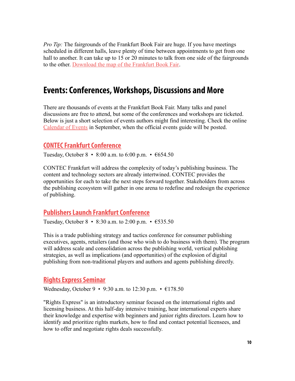*Pro Tip:* The fairgrounds of the Frankfurt Book Fair are huge. If you have meetings scheduled in different halls, leave plenty of time between appointments to get from one hall to another. It can take up to 15 or 20 minutes to talk from one side of the fairgrounds to the other. [Download the map of the Frankfurt Book Fair.](http://buchmesse.de/images/fbm/dokumente-ua-pdfs/2013/hallenplan_juni_2013_37765.pdf)

## <span id="page-9-0"></span>**Events: Conferences, Workshops, Discussions and More**

There are thousands of events at the Frankfurt Book Fair. Many talks and panel discussions are free to attend, but some of the conferences and workshops are ticketed. Below is just a short selection of events authors might find interesting. Check the online [Calendar of Events](https://www.book-fair.com/en/fbf/calendarofevents/) in September, when the official events guide will be posted.

#### **[CONTEC Frankfurt Conference](http://www.book-fair.com/en/academy/programme/00339/)**

Tuesday, October 8 • 8:00 a.m. to 6:00 p.m. •  $654.50$ 

CONTEC Frankfurt will address the complexity of today's publishing business. The content and technology sectors are already intertwined. CONTEC provides the opportunities for each to take the next steps forward together. Stakeholders from across the publishing ecosystem will gather in one arena to redefine and redesign the experience of publishing.

#### **[Publishers Launch Frankfurt Conference](http://www.book-fair.com/en/academy/programme/00352/)**

Tuesday, October 8 • 8:30 a.m. to 2:00 p.m. • €535.50

This is a trade publishing strategy and tactics conference for consumer publishing executives, agents, retailers (and those who wish to do business with them). The program will address scale and consolidation across the publishing world, vertical publishing strategies, as well as implications (and opportunities) of the explosion of digital publishing from non-traditional players and authors and agents publishing directly.

#### **[Rights Express Seminar](http://www.book-fair.com/en/academy/programme/00333/)**

Wednesday, October 9 • 9:30 a.m. to 12:30 p.m. • €178.50

"Rights Express" is an introductory seminar focused on the international rights and licensing business. At this half-day intensive training, hear international experts share their knowledge and expertise with beginners and junior rights directors. Learn how to identify and prioritize rights markets, how to find and contact potential licensees, and how to offer and negotiate rights deals successfully.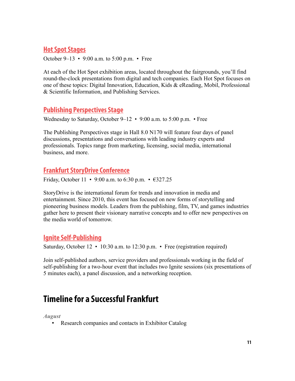#### **[Hot Spot Stages](http://book-fair.com/en/fbf/registration/hot_spots/)**

October 9–13 • 9:00 a.m. to 5:00 p.m. • Free

At each of the Hot Spot exhibition areas, located throughout the fairgrounds, you'll find round-the-clock presentations from digital and tech companies. Each Hot Spot focuses on one of these topics: Digital Innovation, Education, Kids & eReading, Mobil, Professional & Scientific Information, and Publishing Services.

#### **[Publishing Perspectives Stage](http://publishingperspectives.com/publishing-perspectives-at-the-frankfurt-book-fair-2013/)**

Wednesday to Saturday, October 9–12 • 9:00 a.m. to 5:00 p.m. • Free

The Publishing Perspectives stage in Hall 8.0 N170 will feature four days of panel discussions, presentations and conversations with leading industry experts and professionals. Topics range from marketing, licensing, social media, international business, and more.

#### **[Frankfurt StoryDrive Conference](http://www.buchmesse.de/en/academy/programme/00353/)**

Friday, October 11 • 9:00 a.m. to 6:30 p.m. • €327.25

StoryDrive is the international forum for trends and innovation in media and entertainment. Since 2010, this event has focused on new forms of storytelling and pioneering business models. Leaders from the publishing, film, TV, and games industries gather here to present their visionary narrative concepts and to offer new perspectives on the media world of tomorrow.

#### **[Ignite Self-Publishing](http://www.book-fair.com/en/academy/programme/00349/)**

Saturday, October 12 • 10:30 a.m. to 12:30 p.m. • Free (registration required)

Join self-published authors, service providers and professionals working in the field of self-publishing for a two-hour event that includes two Ignite sessions (six presentations of 5 minutes each), a panel discussion, and a networking reception.

# **Timeline for a Successful Frankfurt**

*August*

• Research companies and contacts in Exhibitor Catalog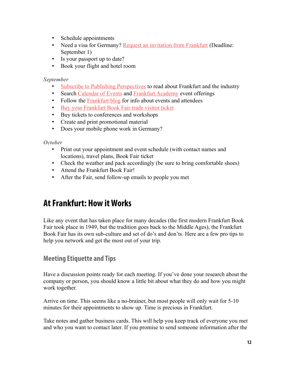- Schedule appointments
- Need a visa for Germany? [Request an invitation from Frankfurt](http://www.book-fair.com/en/fbf/general_information/visa/) (Deadline: September 1)
- Is your passport up to date?
- Book your flight and hotel room

#### *September*

- [Subscribe to Publishing Perspectives](http://publishingperspectives.com/subscribe) to read about Frankfurt and the industry
- Search [Calendar of Events](http://buchmesse.de/en/fbf/calendarofevents/) and [Frankfurt Academy](http://buchmesse.de/en/academy/) event offerings
- Follow the **Frankfurt blog** for info about events and attendees
- [Buy your Frankfurt Book Fair trade visitor ticket](http://www.book-fair.com/en/fbf/customer_services/for_professional_visitors/registration_tickets_vouchers/)
- Buy tickets to conferences and workshops
- Create and print promotional material
- Does your mobile phone work in Germany?

#### *October*

- Print out your appointment and event schedule (with contact names and locations), travel plans, Book Fair ticket
- Check the weather and pack accordingly (be sure to bring comfortable shoes)
- Attend the Frankfurt Book Fair!
- After the Fair, send follow-up emails to people you met

# **At Frankfurt: How it Works**

Like any event that has taken place for many decades (the first modern Frankfurt Book Fair took place in 1949, but the tradition goes back to the Middle Ages), the Frankfurt Book Fair has its own sub-culture and set of do's and don'ts. Here are a few pro tips to help you network and get the most out of your trip.

#### **Meeting Etiquette and Tips**

Have a discussion points ready for each meeting. If you've done your research about the company or person, you should know a little bit about what they do and how you might work together.

Arrive on time. This seems like a no-brainer, but most people will only wait for 5-10 minutes for their appointments to show up. Time is precious in Frankfurt.

Take notes and gather business cards. This will help you keep track of everyone you met and who you want to contact later. If you promise to send someone information after the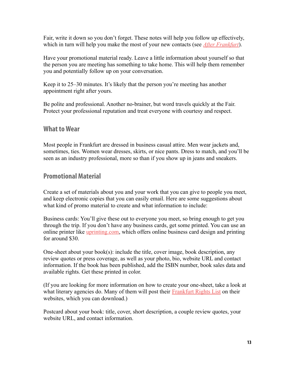Fair, write it down so you don't forget. These notes will help you follow up effectively, which in turn will help you make the most of your new contacts (see *[After Frankfurt](#page-14-0)*).

Have your promotional material ready. Leave a little information about yourself so that the person you are meeting has something to take home. This will help them remember you and potentially follow up on your conversation.

Keep it to 25–30 minutes. It's likely that the person you're meeting has another appointment right after yours.

Be polite and professional. Another no-brainer, but word travels quickly at the Fair. Protect your professional reputation and treat everyone with courtesy and respect.

#### **What to Wear**

Most people in Frankfurt are dressed in business casual attire. Men wear jackets and, sometimes, ties. Women wear dresses, skirts, or nice pants. Dress to match, and you'll be seen as an industry professional, more so than if you show up in jeans and sneakers.

#### <span id="page-12-0"></span>**Promotional Material**

Create a set of materials about you and your work that you can give to people you meet, and keep electronic copies that you can easily email. Here are some suggestions about what kind of promo material to create and what information to include:

Business cards: You'll give these out to everyone you meet, so bring enough to get you through the trip. If you don't have any business cards, get some printed. You can use an online printer like uprinting com, which offers online business card design and printing for around \$30.

One-sheet about your book(s): include the title, cover image, book description, any review quotes or press coverage, as well as your photo, bio, website URL and contact information. If the book has been published, add the ISBN number, book sales data and available rights. Get these printed in color.

(If you are looking for more information on how to create your one-sheet, take a look at what literary agencies do. Many of them will post their **Frankfurt Rights List** on their websites, which you can download.)

Postcard about your book: title, cover, short description, a couple review quotes, your website URL, and contact information.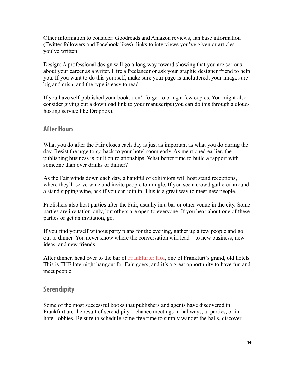Other information to consider: Goodreads and Amazon reviews, fan base information (Twitter followers and Facebook likes), links to interviews you've given or articles you've written.

Design: A professional design will go a long way toward showing that you are serious about your career as a writer. Hire a freelancer or ask your graphic designer friend to help you. If you want to do this yourself, make sure your page is uncluttered, your images are big and crisp, and the type is easy to read.

If you have self-published your book, don't forget to bring a few copies. You might also consider giving out a download link to your manuscript (you can do this through a cloudhosting service like Dropbox).

#### <span id="page-13-0"></span>**After Hours**

What you do after the Fair closes each day is just as important as what you do during the day. Resist the urge to go back to your hotel room early. As mentioned earlier, the publishing business is built on relationships. What better time to build a rapport with someone than over drinks or dinner?

As the Fair winds down each day, a handful of exhibitors will host stand receptions, where they'll serve wine and invite people to mingle. If you see a crowd gathered around a stand sipping wine, ask if you can join in. This is a great way to meet new people.

Publishers also host parties after the Fair, usually in a bar or other venue in the city. Some parties are invitation-only, but others are open to everyone. If you hear about one of these parties or get an invitation, go.

If you find yourself without party plans for the evening, gather up a few people and go out to dinner. You never know where the conversation will lead—to new business, new ideas, and new friends.

After dinner, head over to the bar of **Frankfurter Hof**, one of Frankfurt's grand, old hotels. This is THE late-night hangout for Fair-goers, and it's a great opportunity to have fun and meet people.

#### **Serendipity**

Some of the most successful books that publishers and agents have discovered in Frankfurt are the result of serendipity—chance meetings in hallways, at parties, or in hotel lobbies. Be sure to schedule some free time to simply wander the halls, discover,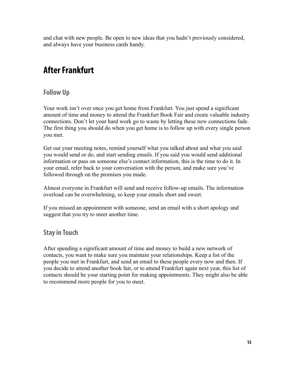and chat with new people. Be open to new ideas that you hadn't previously considered, and always have your business cards handy.

# <span id="page-14-0"></span>**After Frankfurt**

## **Follow Up**

Your work isn't over once you get home from Frankfurt. You just spend a significant amount of time and money to attend the Frankfurt Book Fair and create valuable industry connections. Don't let your hard work go to waste by letting these new connections fade. The first thing you should do when you get home is to follow up with every single person you met.

Get out your meeting notes, remind yourself what you talked about and what you said you would send or do, and start sending emails. If you said you would send additional information or pass on someone else's contact information, this is the time to do it. In your email, refer back to your conversation with the person, and make sure you've followed through on the promises you made.

Almost everyone in Frankfurt will send and receive follow-up emails. The information overload can be overwhelming, so keep your emails short and sweet.

If you missed an appointment with someone, send an email with a short apology and suggest that you try to meet another time.

## **Stay in Touch**

After spending a significant amount of time and money to build a new network of contacts, you want to make sure you maintain your relationships. Keep a list of the people you met in Frankfurt, and send an email to these people every now and then. If you decide to attend another book fair, or to attend Frankfurt again next year, this list of contacts should be your starting point for making appointments. They might also be able to recommend more people for you to meet.